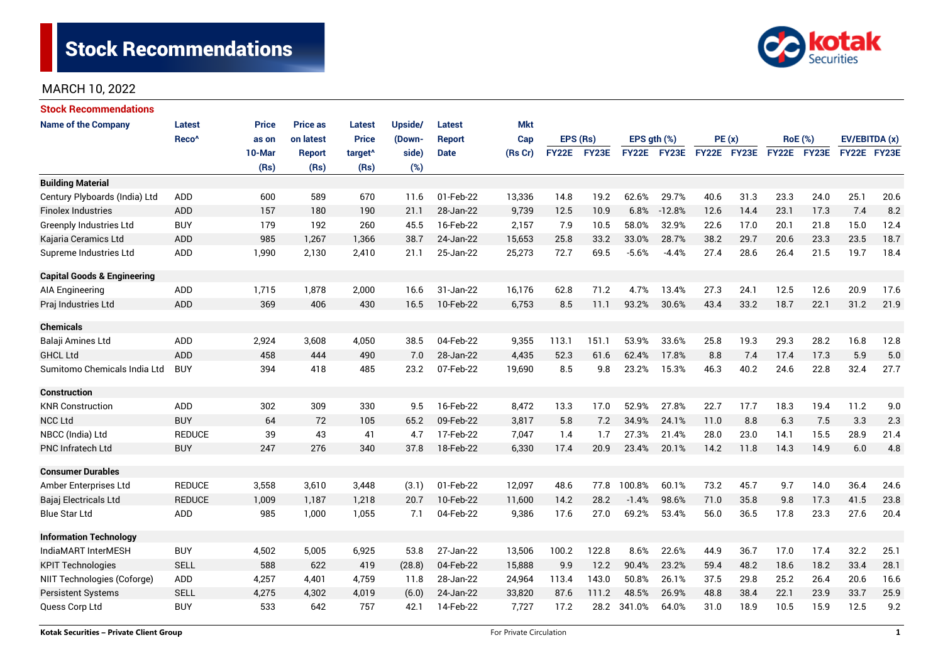

| <b>Stock Recommendations</b>           |                   |              |                 |                     |                |               |            |              |       |                  |             |             |      |                |             |               |      |
|----------------------------------------|-------------------|--------------|-----------------|---------------------|----------------|---------------|------------|--------------|-------|------------------|-------------|-------------|------|----------------|-------------|---------------|------|
| <b>Name of the Company</b>             | <b>Latest</b>     | <b>Price</b> | <b>Price as</b> | <b>Latest</b>       | <b>Upside/</b> | Latest        | <b>Mkt</b> |              |       |                  |             |             |      |                |             |               |      |
|                                        | Reco <sup>^</sup> | as on        | on latest       | <b>Price</b>        | (Down-         | <b>Report</b> | Cap        | EPS (Rs)     |       | EPS $gth$ $(\%)$ |             | PE(x)       |      | <b>RoE</b> (%) |             | EV/EBITDA (x) |      |
|                                        |                   | 10-Mar       | <b>Report</b>   | target <sup>^</sup> | side)          | <b>Date</b>   | (Rs Cr)    | <b>FY22E</b> | FY23E |                  | FY22E FY23E | FY22E FY23E |      |                | FY22E FY23E | FY22E FY23E   |      |
|                                        |                   | (Rs)         | (Rs)            | (Rs)                | (%)            |               |            |              |       |                  |             |             |      |                |             |               |      |
| <b>Building Material</b>               |                   |              |                 |                     |                |               |            |              |       |                  |             |             |      |                |             |               |      |
| Century Plyboards (India) Ltd          | <b>ADD</b>        | 600          | 589             | 670                 | 11.6           | 01-Feb-22     | 13,336     | 14.8         | 19.2  | 62.6%            | 29.7%       | 40.6        | 31.3 | 23.3           | 24.0        | 25.1          | 20.6 |
| <b>Finolex Industries</b>              | <b>ADD</b>        | 157          | 180             | 190                 | 21.1           | 28-Jan-22     | 9,739      | 12.5         | 10.9  | 6.8%             | $-12.8%$    | 12.6        | 14.4 | 23.1           | 17.3        | 7.4           | 8.2  |
| <b>Greenply Industries Ltd</b>         | <b>BUY</b>        | 179          | 192             | 260                 | 45.5           | 16-Feb-22     | 2,157      | 7.9          | 10.5  | 58.0%            | 32.9%       | 22.6        | 17.0 | 20.1           | 21.8        | 15.0          | 12.4 |
| Kajaria Ceramics Ltd                   | <b>ADD</b>        | 985          | 1,267           | 1,366               | 38.7           | 24-Jan-22     | 15,653     | 25.8         | 33.2  | 33.0%            | 28.7%       | 38.2        | 29.7 | 20.6           | 23.3        | 23.5          | 18.7 |
| Supreme Industries Ltd                 | <b>ADD</b>        | 1,990        | 2,130           | 2,410               | 21.1           | 25-Jan-22     | 25,273     | 72.7         | 69.5  | $-5.6%$          | $-4.4%$     | 27.4        | 28.6 | 26.4           | 21.5        | 19.7          | 18.4 |
| <b>Capital Goods &amp; Engineering</b> |                   |              |                 |                     |                |               |            |              |       |                  |             |             |      |                |             |               |      |
| AIA Engineering                        | ADD               | 1,715        | 1,878           | 2,000               | 16.6           | 31-Jan-22     | 16,176     | 62.8         | 71.2  | 4.7%             | 13.4%       | 27.3        | 24.1 | 12.5           | 12.6        | 20.9          | 17.6 |
| Praj Industries Ltd                    | <b>ADD</b>        | 369          | 406             | 430                 | 16.5           | 10-Feb-22     | 6,753      | 8.5          | 11.1  | 93.2%            | 30.6%       | 43.4        | 33.2 | 18.7           | 22.1        | 31.2          | 21.9 |
| <b>Chemicals</b>                       |                   |              |                 |                     |                |               |            |              |       |                  |             |             |      |                |             |               |      |
| Balaji Amines Ltd                      | ADD               | 2,924        | 3,608           | 4,050               | 38.5           | 04-Feb-22     | 9,355      | 113.1        | 151.1 | 53.9%            | 33.6%       | 25.8        | 19.3 | 29.3           | 28.2        | 16.8          | 12.8 |
| <b>GHCL Ltd</b>                        | <b>ADD</b>        | 458          | 444             | 490                 | 7.0            | 28-Jan-22     | 4,435      | 52.3         | 61.6  | 62.4%            | 17.8%       | 8.8         | 7.4  | 17.4           | 17.3        | 5.9           | 5.0  |
| Sumitomo Chemicals India Ltd           | <b>BUY</b>        | 394          | 418             | 485                 | 23.2           | 07-Feb-22     | 19,690     | 8.5          | 9.8   | 23.2%            | 15.3%       | 46.3        | 40.2 | 24.6           | 22.8        | 32.4          | 27.7 |
| <b>Construction</b>                    |                   |              |                 |                     |                |               |            |              |       |                  |             |             |      |                |             |               |      |
| <b>KNR Construction</b>                | ADD               | 302          | 309             | 330                 | 9.5            | 16-Feb-22     | 8,472      | 13.3         | 17.0  | 52.9%            | 27.8%       | 22.7        | 17.7 | 18.3           | 19.4        | 11.2          | 9.0  |
| <b>NCC Ltd</b>                         | <b>BUY</b>        | 64           | 72              | 105                 | 65.2           | 09-Feb-22     | 3,817      | 5.8          | 7.2   | 34.9%            | 24.1%       | 11.0        | 8.8  | 6.3            | 7.5         | 3.3           | 2.3  |
| NBCC (India) Ltd                       | <b>REDUCE</b>     | 39           | 43              | 41                  | 4.7            | 17-Feb-22     | 7,047      | 1.4          | 1.7   | 27.3%            | 21.4%       | 28.0        | 23.0 | 14.1           | 15.5        | 28.9          | 21.4 |
| <b>PNC Infratech Ltd</b>               | <b>BUY</b>        | 247          | 276             | 340                 | 37.8           | 18-Feb-22     | 6,330      | 17.4         | 20.9  | 23.4%            | 20.1%       | 14.2        | 11.8 | 14.3           | 14.9        | 6.0           | 4.8  |
| <b>Consumer Durables</b>               |                   |              |                 |                     |                |               |            |              |       |                  |             |             |      |                |             |               |      |
| Amber Enterprises Ltd                  | <b>REDUCE</b>     | 3,558        | 3,610           | 3,448               | (3.1)          | 01-Feb-22     | 12,097     | 48.6         | 77.8  | 100.8%           | 60.1%       | 73.2        | 45.7 | 9.7            | 14.0        | 36.4          | 24.6 |
| Bajaj Electricals Ltd                  | <b>REDUCE</b>     | 1,009        | 1,187           | 1,218               | 20.7           | 10-Feb-22     | 11,600     | 14.2         | 28.2  | $-1.4%$          | 98.6%       | 71.0        | 35.8 | 9.8            | 17.3        | 41.5          | 23.8 |
| <b>Blue Star Ltd</b>                   | <b>ADD</b>        | 985          | 1,000           | 1,055               | 7.1            | 04-Feb-22     | 9,386      | 17.6         | 27.0  | 69.2%            | 53.4%       | 56.0        | 36.5 | 17.8           | 23.3        | 27.6          | 20.4 |
| <b>Information Technology</b>          |                   |              |                 |                     |                |               |            |              |       |                  |             |             |      |                |             |               |      |
| IndiaMART InterMESH                    | <b>BUY</b>        | 4,502        | 5,005           | 6,925               | 53.8           | 27-Jan-22     | 13,506     | 100.2        | 122.8 | 8.6%             | 22.6%       | 44.9        | 36.7 | 17.0           | 17.4        | 32.2          | 25.1 |
| <b>KPIT Technologies</b>               | <b>SELL</b>       | 588          | 622             | 419                 | (28.8)         | 04-Feb-22     | 15,888     | 9.9          | 12.2  | 90.4%            | 23.2%       | 59.4        | 48.2 | 18.6           | 18.2        | 33.4          | 28.1 |
| NIIT Technologies (Coforge)            | ADD               | 4,257        | 4,401           | 4,759               | 11.8           | 28-Jan-22     | 24,964     | 113.4        | 143.0 | 50.8%            | 26.1%       | 37.5        | 29.8 | 25.2           | 26.4        | 20.6          | 16.6 |
| Persistent Systems                     | <b>SELL</b>       | 4,275        | 4,302           | 4,019               | (6.0)          | 24-Jan-22     | 33,820     | 87.6         | 111.2 | 48.5%            | 26.9%       | 48.8        | 38.4 | 22.1           | 23.9        | 33.7          | 25.9 |
| Quess Corp Ltd                         | <b>BUY</b>        | 533          | 642             | 757                 | 42.1           | 14-Feb-22     | 7,727      | 17.2         | 28.2  | 341.0%           | 64.0%       | 31.0        | 18.9 | 10.5           | 15.9        | 12.5          | 9.2  |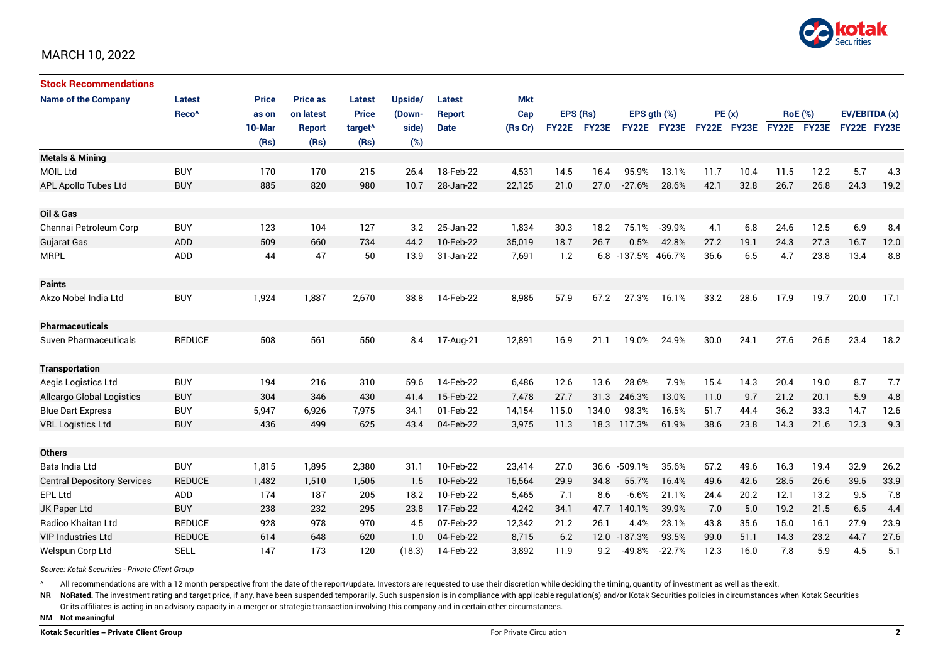

| <b>Stock Recommendations</b>       |                   |              |                 |                     |         |               |            |              |       |                    |                  |             |       |             |                |             |               |  |
|------------------------------------|-------------------|--------------|-----------------|---------------------|---------|---------------|------------|--------------|-------|--------------------|------------------|-------------|-------|-------------|----------------|-------------|---------------|--|
| <b>Name of the Company</b>         | Latest            | <b>Price</b> | <b>Price as</b> | <b>Latest</b>       | Upside/ | Latest        | <b>Mkt</b> |              |       |                    |                  |             |       |             |                |             |               |  |
|                                    | Reco <sup>^</sup> | as on        | on latest       | <b>Price</b>        | (Down-  | <b>Report</b> | Cap        | EPS (Rs)     |       |                    | EPS $qth$ $(\%)$ |             | PE(x) |             | <b>RoE</b> (%) |             | EV/EBITDA (x) |  |
|                                    |                   | 10-Mar       | <b>Report</b>   | target <sup>^</sup> | side)   | <b>Date</b>   | (Rs Cr)    | <b>FY22E</b> | FY23E | <b>FY22E</b>       | <b>FY23E</b>     | FY22E FY23E |       | FY22E FY23E |                | FY22E FY23E |               |  |
|                                    |                   | (Rs)         | (Rs)            | (Rs)                | (%)     |               |            |              |       |                    |                  |             |       |             |                |             |               |  |
| <b>Metals &amp; Mining</b>         |                   |              |                 |                     |         |               |            |              |       |                    |                  |             |       |             |                |             |               |  |
| <b>MOIL Ltd</b>                    | <b>BUY</b>        | 170          | 170             | 215                 | 26.4    | 18-Feb-22     | 4,531      | 14.5         | 16.4  | 95.9%              | 13.1%            | 11.7        | 10.4  | 11.5        | 12.2           | 5.7         | 4.3           |  |
| <b>APL Apollo Tubes Ltd</b>        | <b>BUY</b>        | 885          | 820             | 980                 | 10.7    | 28-Jan-22     | 22,125     | 21.0         | 27.0  | $-27.6%$           | 28.6%            | 42.1        | 32.8  | 26.7        | 26.8           | 24.3        | 19.2          |  |
|                                    |                   |              |                 |                     |         |               |            |              |       |                    |                  |             |       |             |                |             |               |  |
| Oil & Gas                          |                   |              |                 |                     |         |               |            |              |       |                    |                  |             |       |             |                |             |               |  |
| Chennai Petroleum Corp             | <b>BUY</b>        | 123          | 104             | 127                 | 3.2     | 25-Jan-22     | 1,834      | 30.3         | 18.2  | 75.1%              | $-39.9%$         | 4.1         | 6.8   | 24.6        | 12.5           | 6.9         | 8.4           |  |
| <b>Gujarat Gas</b>                 | <b>ADD</b>        | 509          | 660             | 734                 | 44.2    | 10-Feb-22     | 35,019     | 18.7         | 26.7  | 0.5%               | 42.8%            | 27.2        | 19.1  | 24.3        | 27.3           | 16.7        | 12.0          |  |
| <b>MRPL</b>                        | ADD               | 44           | 47              | 50                  | 13.9    | 31-Jan-22     | 7,691      | 1.2          |       | 6.8 -137.5% 466.7% |                  | 36.6        | 6.5   | 4.7         | 23.8           | 13.4        | 8.8           |  |
|                                    |                   |              |                 |                     |         |               |            |              |       |                    |                  |             |       |             |                |             |               |  |
| <b>Paints</b>                      |                   |              |                 |                     |         |               |            |              |       |                    |                  |             |       |             |                |             |               |  |
| Akzo Nobel India Ltd               | <b>BUY</b>        | 1,924        | 1,887           | 2,670               | 38.8    | 14-Feb-22     | 8,985      | 57.9         | 67.2  | 27.3%              | 16.1%            | 33.2        | 28.6  | 17.9        | 19.7           | 20.0        | 17.1          |  |
|                                    |                   |              |                 |                     |         |               |            |              |       |                    |                  |             |       |             |                |             |               |  |
| <b>Pharmaceuticals</b>             |                   |              |                 |                     |         |               |            |              |       |                    |                  |             |       |             |                |             |               |  |
| Suven Pharmaceuticals              | <b>REDUCE</b>     | 508          | 561             | 550                 | 8.4     | 17-Aug-21     | 12,891     | 16.9         | 21.1  | 19.0%              | 24.9%            | 30.0        | 24.1  | 27.6        | 26.5           | 23.4        | 18.2          |  |
|                                    |                   |              |                 |                     |         |               |            |              |       |                    |                  |             |       |             |                |             |               |  |
| <b>Transportation</b>              |                   |              |                 |                     |         |               |            |              |       |                    |                  |             |       |             |                |             |               |  |
| Aegis Logistics Ltd                | <b>BUY</b>        | 194          | 216             | 310                 | 59.6    | 14-Feb-22     | 6,486      | 12.6         | 13.6  | 28.6%              | 7.9%             | 15.4        | 14.3  | 20.4        | 19.0           | 8.7         | 7.7           |  |
| <b>Allcargo Global Logistics</b>   | <b>BUY</b>        | 304          | 346             | 430                 | 41.4    | 15-Feb-22     | 7.478      | 27.7         | 31.3  | 246.3%             | 13.0%            | 11.0        | 9.7   | 21.2        | 20.1           | 5.9         | 4.8           |  |
| <b>Blue Dart Express</b>           | <b>BUY</b>        | 5,947        | 6,926           | 7,975               | 34.1    | 01-Feb-22     | 14,154     | 115.0        | 134.0 | 98.3%              | 16.5%            | 51.7        | 44.4  | 36.2        | 33.3           | 14.7        | 12.6          |  |
| <b>VRL Logistics Ltd</b>           | <b>BUY</b>        | 436          | 499             | 625                 | 43.4    | 04-Feb-22     | 3,975      | 11.3         | 18.3  | 117.3%             | 61.9%            | 38.6        | 23.8  | 14.3        | 21.6           | 12.3        | 9.3           |  |
|                                    |                   |              |                 |                     |         |               |            |              |       |                    |                  |             |       |             |                |             |               |  |
| <b>Others</b>                      |                   |              |                 |                     |         |               |            |              |       |                    |                  |             |       |             |                |             |               |  |
| Bata India Ltd                     | <b>BUY</b>        | 1,815        | 1,895           | 2,380               | 31.1    | 10-Feb-22     | 23,414     | 27.0         | 36.6  | $-509.1%$          | 35.6%            | 67.2        | 49.6  | 16.3        | 19.4           | 32.9        | 26.2          |  |
| <b>Central Depository Services</b> | <b>REDUCE</b>     | 1,482        | 1,510           | 1,505               | 1.5     | 10-Feb-22     | 15,564     | 29.9         | 34.8  | 55.7%              | 16.4%            | 49.6        | 42.6  | 28.5        | 26.6           | 39.5        | 33.9          |  |
| <b>EPL Ltd</b>                     | ADD               | 174          | 187             | 205                 | 18.2    | 10-Feb-22     | 5,465      | 7.1          | 8.6   | $-6.6%$            | 21.1%            | 24.4        | 20.2  | 12.1        | 13.2           | 9.5         | 7.8           |  |
| JK Paper Ltd                       | <b>BUY</b>        | 238          | 232             | 295                 | 23.8    | 17-Feb-22     | 4,242      | 34.1         | 47.7  | 140.1%             | 39.9%            | 7.0         | 5.0   | 19.2        | 21.5           | 6.5         | 4.4           |  |
| Radico Khaitan Ltd                 | <b>REDUCE</b>     | 928          | 978             | 970                 | 4.5     | 07-Feb-22     | 12,342     | 21.2         | 26.1  | 4.4%               | 23.1%            | 43.8        | 35.6  | 15.0        | 16.1           | 27.9        | 23.9          |  |
| <b>VIP Industries Ltd</b>          | <b>REDUCE</b>     | 614          | 648             | 620                 | 1.0     | 04-Feb-22     | 8,715      | 6.2          |       | 12.0 -187.3%       | 93.5%            | 99.0        | 51.1  | 14.3        | 23.2           | 44.7        | 27.6          |  |
| Welspun Corp Ltd                   | <b>SELL</b>       | 147          | 173             | 120                 | (18.3)  | 14-Feb-22     | 3,892      | 11.9         | 9.2   | -49.8%             | $-22.7%$         | 12.3        | 16.0  | 7.8         | 5.9            | 4.5         | 5.1           |  |

*Source: Kotak Securities - Private Client Group*

All recommendations are with a 12 month perspective from the date of the report/update. Investors are requested to use their discretion while deciding the timing, quantity of investment as well as the exit.

NR NoRated. The investment rating and target price, if any, have been suspended temporarily. Such suspension is in compliance with applicable regulation(s) and/or Kotak Securities policies in circumstances when Kotak Secur

Or its affiliates is acting in an advisory capacity in a merger or strategic transaction involving this company and in certain other circumstances.

**NM Not meaningful**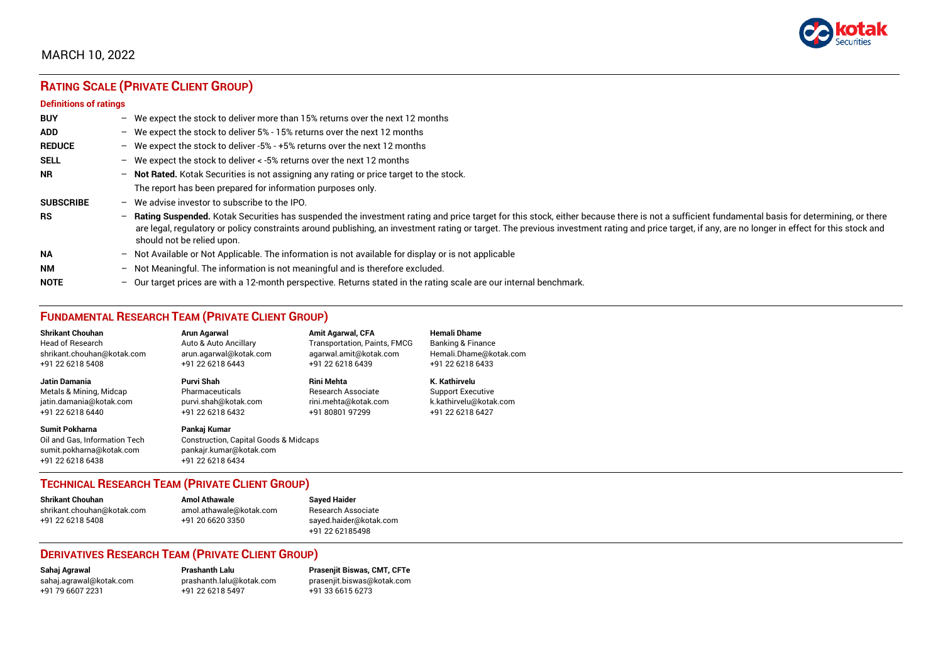

# **RATING SCALE (PRIVATE CLIENT GROUP)**

#### **Definitions of ratings**

| <b>BUY</b>       | - We expect the stock to deliver more than 15% returns over the next 12 months                                                                                                                                                                                                                                                                                                                                                     |
|------------------|------------------------------------------------------------------------------------------------------------------------------------------------------------------------------------------------------------------------------------------------------------------------------------------------------------------------------------------------------------------------------------------------------------------------------------|
| <b>ADD</b>       | - We expect the stock to deliver 5% - 15% returns over the next 12 months                                                                                                                                                                                                                                                                                                                                                          |
| <b>REDUCE</b>    | - We expect the stock to deliver -5% - +5% returns over the next 12 months                                                                                                                                                                                                                                                                                                                                                         |
| <b>SELL</b>      | - We expect the stock to deliver $\lt$ -5% returns over the next 12 months                                                                                                                                                                                                                                                                                                                                                         |
| <b>NR</b>        | - Not Rated. Kotak Securities is not assigning any rating or price target to the stock.                                                                                                                                                                                                                                                                                                                                            |
|                  | The report has been prepared for information purposes only.                                                                                                                                                                                                                                                                                                                                                                        |
| <b>SUBSCRIBE</b> | $-$ We advise investor to subscribe to the IPO.                                                                                                                                                                                                                                                                                                                                                                                    |
| <b>RS</b>        | - Rating Suspended. Kotak Securities has suspended the investment rating and price target for this stock, either because there is not a sufficient fundamental basis for determining, or there<br>are legal, regulatory or policy constraints around publishing, an investment rating or target. The previous investment rating and price target, if any, are no longer in effect for this stock and<br>should not be relied upon. |
| <b>NA</b>        | - Not Available or Not Applicable. The information is not available for display or is not applicable                                                                                                                                                                                                                                                                                                                               |
| <b>NM</b>        | - Not Meaningful. The information is not meaningful and is therefore excluded.                                                                                                                                                                                                                                                                                                                                                     |
| <b>NOTE</b>      | $-$ Our target prices are with a 12-month perspective. Returns stated in the rating scale are our internal benchmark.                                                                                                                                                                                                                                                                                                              |

## **FUNDAMENTAL RESEARCH TEAM (PRIVATE CLIENT GROUP)**

| <b>Shrikant Chouhan</b>                                                                                | Arun Agarwal                                                                                         | <b>Amit Agarwal, CFA</b>            | <b>Hemali Dhame</b>          |
|--------------------------------------------------------------------------------------------------------|------------------------------------------------------------------------------------------------------|-------------------------------------|------------------------------|
| <b>Head of Research</b>                                                                                | Auto & Auto Ancillary                                                                                | <b>Transportation, Paints, FMCG</b> | <b>Banking &amp; Finance</b> |
| shrikant.chouhan@kotak.com                                                                             | arun.agarwal@kotak.com                                                                               | agarwal.amit@kotak.com              | Hemali.Dhame@kotak.com       |
| +91 22 6218 5408                                                                                       | +91 22 6218 6443                                                                                     | +91 22 6218 6439                    | +91 22 6218 6433             |
| <b>Jatin Damania</b>                                                                                   | Purvi Shah                                                                                           | <b>Rini Mehta</b>                   | K. Kathirvelu                |
| Metals & Mining, Midcap                                                                                | Pharmaceuticals                                                                                      | <b>Research Associate</b>           | <b>Support Executive</b>     |
| jatin.damania@kotak.com                                                                                | purvi.shah@kotak.com                                                                                 | rini.mehta@kotak.com                | k.kathirvelu@kotak.com       |
| +91 22 6218 6440                                                                                       | +91 22 6218 6432                                                                                     | +91 80801 97299                     | +91 22 6218 6427             |
| <b>Sumit Pokharna</b><br>Oil and Gas. Information Tech<br>sumit.pokharna@kotak.com<br>+91 22 6218 6438 | Pankai Kumar<br>Construction, Capital Goods & Midcaps<br>pankajr.kumar@kotak.com<br>+91 22 6218 6434 |                                     |                              |

## **TECHNICAL RESEARCH TEAM (PRIVATE CLIENT GROUP)**

| <b>Shrikant Chouhan</b>    | <b>Amol Athawale</b>    |  |
|----------------------------|-------------------------|--|
| shrikant.chouhan@kotak.com | amol.athawale@kotak.com |  |
| +91 22 6218 5408           | +91 20 6620 3350        |  |
|                            |                         |  |

#### **Sayed Haider** Research Associate [sayed.haider@kotak.com](mailto:sayed.haider@kotak.com) +91 22 62185498

## **DERIVATIVES RESEARCH TEAM (PRIVATE CLIENT GROUP)**

+91 22 6218 5497 +91 33 6615 6273

**Sahaj Agrawal Prashanth Lalu Prasenjit Biswas, CMT, CFTe** [sahaj.agrawal@kotak.com](mailto:sahaj.agrawal@kotak.com) [prashanth.lalu@kotak.com](mailto:prashanth.lalu@kotak.com) [prasenjit.biswas@kotak.com](mailto:prasenjit.biswas@kotak.com)